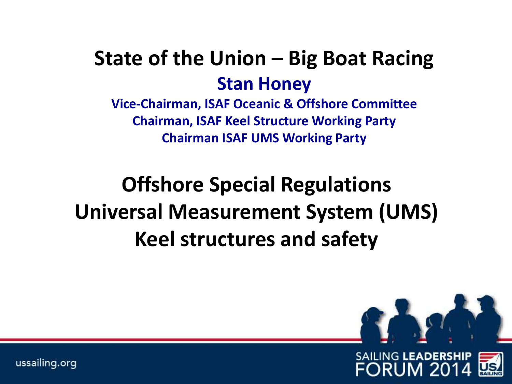## **State of the Union – Big Boat Racing Stan Honey**

**Vice-Chairman, ISAF Oceanic & Offshore Committee Chairman, ISAF Keel Structure Working Party Chairman ISAF UMS Working Party**

# **Offshore Special Regulations Universal Measurement System (UMS) Keel structures and safety**

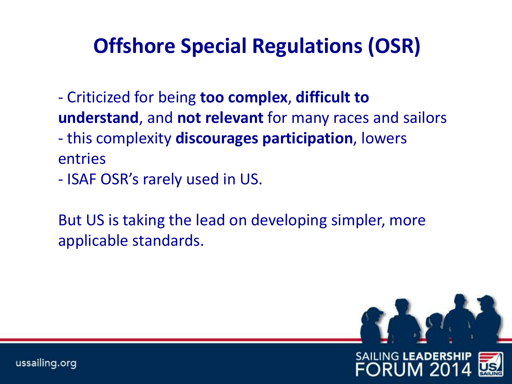## **Offshore Special Regulations (OSR)**

- Criticized for being **too complex**, **difficult to understand**, and **not relevant** for many races and sailors - this complexity **discourages participation**, lowers entries

- ISAF OSR's rarely used in US.

But US is taking the lead on developing simpler, more applicable standards.

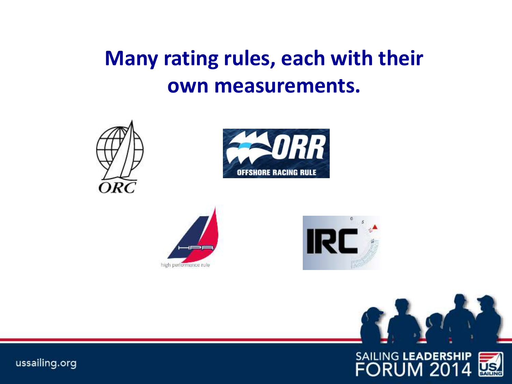# **Many rating rules, each with their own measurements.**











SAILING LEADERSHIP<br>FORUM 2014

ussailing.org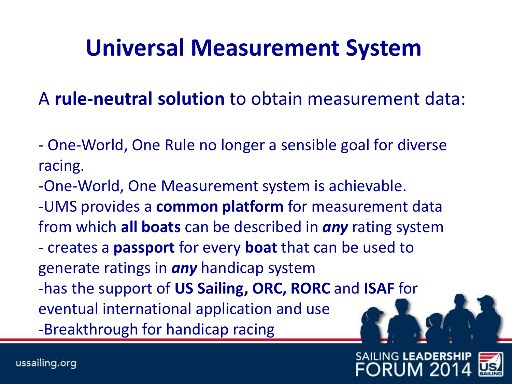# **Universal Measurement System**

A **rule-neutral solution** to obtain measurement data:

- One-World, One Rule no longer a sensible goal for diverse racing.
- -One-World, One Measurement system is achievable.
- -UMS provides a **common platform** for measurement data from which **all boats** can be described in *any* rating system
- creates a **passport** for every **boat** that can be used to generate ratings in *any* handicap system
- -has the support of **US Sailing, ORC, RORC** and **ISAF** for

eventual international application and use -Breakthrough for handicap racing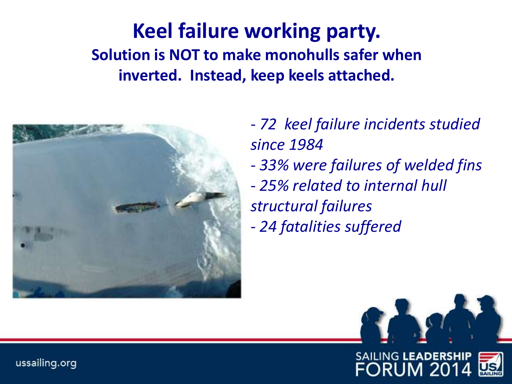#### **Keel failure working party. Solution is NOT to make monohulls safer when inverted. Instead, keep keels attached.**



- *72 keel failure incidents studied since 1984*

- *33% were failures of welded fins*
- *25% related to internal hull structural failures*
- *24 fatalities suffered*



ussailing.org